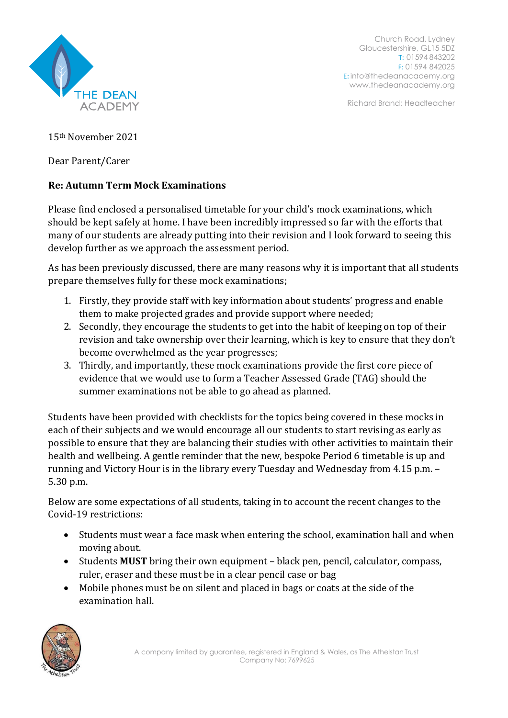

Church Road, Lydney Gloucestershire, GL15 5DZ T: 01594 843202 F: 01594 842025 E: [info@thedeanacademy.org](mailto:info@thedeanacademy.org) [www.thedeanacademy.org](http://www.thedeanacademy.org/)

Richard Brand: Headteacher

15th November 2021

Dear Parent/Carer

## **Re: Autumn Term Mock Examinations**

Please find enclosed a personalised timetable for your child's mock examinations, which should be kept safely at home. I have been incredibly impressed so far with the efforts that many of our students are already putting into their revision and I look forward to seeing this develop further as we approach the assessment period.

As has been previously discussed, there are many reasons why it is important that all students prepare themselves fully for these mock examinations;

- 1. Firstly, they provide staff with key information about students' progress and enable them to make projected grades and provide support where needed;
- 2. Secondly, they encourage the students to get into the habit of keeping on top of their revision and take ownership over their learning, which is key to ensure that they don't become overwhelmed as the year progresses;
- 3. Thirdly, and importantly, these mock examinations provide the first core piece of evidence that we would use to form a Teacher Assessed Grade (TAG) should the summer examinations not be able to go ahead as planned.

Students have been provided with checklists for the topics being covered in these mocks in each of their subjects and we would encourage all our students to start revising as early as possible to ensure that they are balancing their studies with other activities to maintain their health and wellbeing. A gentle reminder that the new, bespoke Period 6 timetable is up and running and Victory Hour is in the library every Tuesday and Wednesday from 4.15 p.m. – 5.30 p.m.

Below are some expectations of all students, taking in to account the recent changes to the Covid-19 restrictions:

- Students must wear a face mask when entering the school, examination hall and when moving about.
- Students **MUST** bring their own equipment black pen, pencil, calculator, compass, ruler, eraser and these must be in a clear pencil case or bag
- Mobile phones must be on silent and placed in bags or coats at the side of the examination hall.